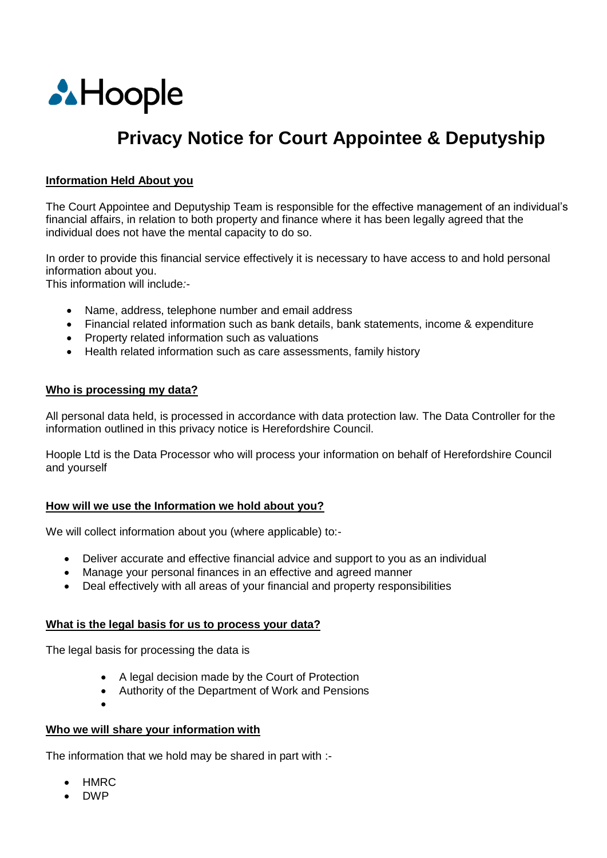

# **Privacy Notice for Court Appointee & Deputyship**

## **Information Held About you**

The Court Appointee and Deputyship Team is responsible for the effective management of an individual's financial affairs, in relation to both property and finance where it has been legally agreed that the individual does not have the mental capacity to do so.

In order to provide this financial service effectively it is necessary to have access to and hold personal information about you.

This information will include*:-*

- Name, address, telephone number and email address
- Financial related information such as bank details, bank statements, income & expenditure
- Property related information such as valuations
- Health related information such as care assessments, family history

### **Who is processing my data?**

All personal data held, is processed in accordance with data protection law. The Data Controller for the information outlined in this privacy notice is Herefordshire Council.

Hoople Ltd is the Data Processor who will process your information on behalf of Herefordshire Council and yourself

# **How will we use the Information we hold about you?**

We will collect information about you (where applicable) to:-

- Deliver accurate and effective financial advice and support to you as an individual
- Manage your personal finances in an effective and agreed manner
- Deal effectively with all areas of your financial and property responsibilities

#### **What is the legal basis for us to process your data?**

The legal basis for processing the data is

- A legal decision made by the Court of Protection
- Authority of the Department of Work and Pensions
- $\bullet$

# **Who we will share your information with**

The information that we hold may be shared in part with :-

- HMRC
- DWP